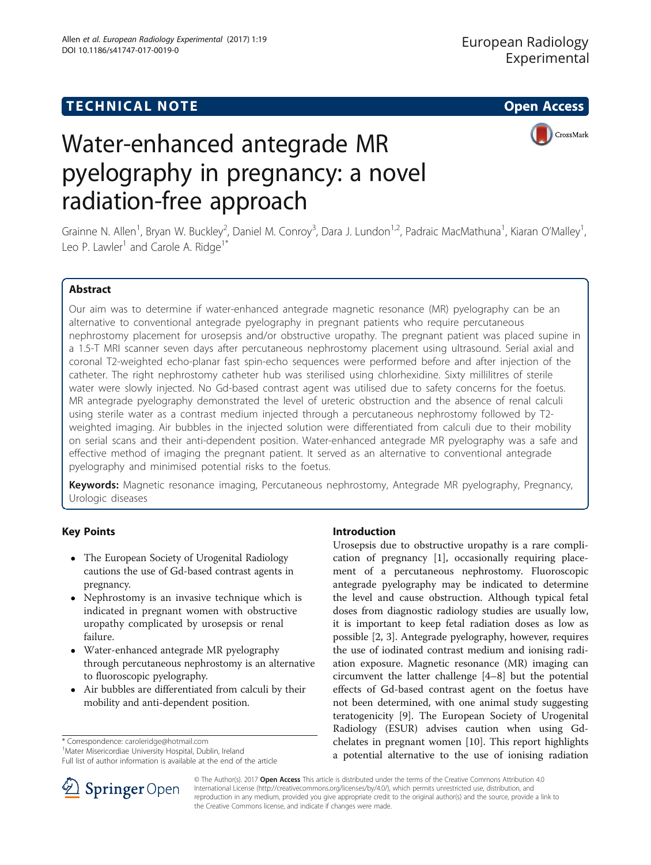# **TECHNICAL NOTE CONSIDERING ACCESS**

CrossMark



Grainne N. Allen<sup>1</sup>, Bryan W. Buckley<sup>2</sup>, Daniel M. Conroy<sup>3</sup>, Dara J. Lundon<sup>1,2</sup>, Padraic MacMathuna<sup>1</sup>, Kiaran O'Malley<sup>1</sup> , Leo P. Lawler<sup>1</sup> and Carole A. Ridge<sup>1\*</sup>

# Abstract

Our aim was to determine if water-enhanced antegrade magnetic resonance (MR) pyelography can be an alternative to conventional antegrade pyelography in pregnant patients who require percutaneous nephrostomy placement for urosepsis and/or obstructive uropathy. The pregnant patient was placed supine in a 1.5-T MRI scanner seven days after percutaneous nephrostomy placement using ultrasound. Serial axial and coronal T2-weighted echo-planar fast spin-echo sequences were performed before and after injection of the catheter. The right nephrostomy catheter hub was sterilised using chlorhexidine. Sixty millilitres of sterile water were slowly injected. No Gd-based contrast agent was utilised due to safety concerns for the foetus. MR antegrade pyelography demonstrated the level of ureteric obstruction and the absence of renal calculi using sterile water as a contrast medium injected through a percutaneous nephrostomy followed by T2 weighted imaging. Air bubbles in the injected solution were differentiated from calculi due to their mobility on serial scans and their anti-dependent position. Water-enhanced antegrade MR pyelography was a safe and effective method of imaging the pregnant patient. It served as an alternative to conventional antegrade pyelography and minimised potential risks to the foetus.

Keywords: Magnetic resonance imaging, Percutaneous nephrostomy, Antegrade MR pyelography, Pregnancy, Urologic diseases

# Key Points

- The European Society of Urogenital Radiology cautions the use of Gd-based contrast agents in pregnancy.
- Nephrostomy is an invasive technique which is indicated in pregnant women with obstructive uropathy complicated by urosepsis or renal failure.
- Water-enhanced antegrade MR pyelography through percutaneous nephrostomy is an alternative to fluoroscopic pyelography.
- Air bubbles are differentiated from calculi by their mobility and anti-dependent position.

\* Correspondence: [caroleridge@hotmail.com](mailto:caroleridge@hotmail.com) <sup>1</sup>

<sup>1</sup> Mater Misericordiae University Hospital, Dublin, Ireland

Full list of author information is available at the end of the article

## Introduction

Urosepsis due to obstructive uropathy is a rare complication of pregnancy [\[1\]](#page-2-0), occasionally requiring placement of a percutaneous nephrostomy. Fluoroscopic antegrade pyelography may be indicated to determine the level and cause obstruction. Although typical fetal doses from diagnostic radiology studies are usually low, it is important to keep fetal radiation doses as low as possible [\[2](#page-2-0), [3](#page-2-0)]. Antegrade pyelography, however, requires the use of iodinated contrast medium and ionising radiation exposure. Magnetic resonance (MR) imaging can circumvent the latter challenge [[4](#page-2-0)–[8\]](#page-2-0) but the potential effects of Gd-based contrast agent on the foetus have not been determined, with one animal study suggesting teratogenicity [\[9](#page-2-0)]. The European Society of Urogenital Radiology (ESUR) advises caution when using Gdchelates in pregnant women [\[10\]](#page-2-0). This report highlights a potential alternative to the use of ionising radiation



© The Author(s). 2017 Open Access This article is distributed under the terms of the Creative Commons Attribution 4.0 International License ([http://creativecommons.org/licenses/by/4.0/\)](http://creativecommons.org/licenses/by/4.0/), which permits unrestricted use, distribution, and reproduction in any medium, provided you give appropriate credit to the original author(s) and the source, provide a link to the Creative Commons license, and indicate if changes were made.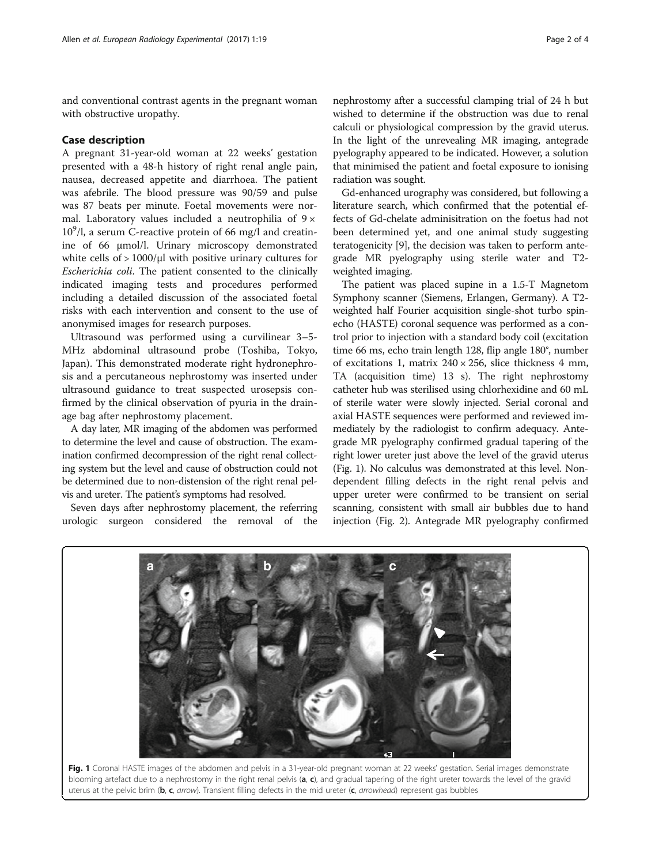and conventional contrast agents in the pregnant woman with obstructive uropathy.

### Case description

A pregnant 31-year-old woman at 22 weeks' gestation presented with a 48-h history of right renal angle pain, nausea, decreased appetite and diarrhoea. The patient was afebrile. The blood pressure was 90/59 and pulse was 87 beats per minute. Foetal movements were normal. Laboratory values included a neutrophilia of  $9 \times$  $10^9$ /l, a serum C-reactive protein of 66 mg/l and creatinine of 66 μmol/l. Urinary microscopy demonstrated white cells of  $> 1000/\mu$ l with positive urinary cultures for Escherichia coli. The patient consented to the clinically indicated imaging tests and procedures performed including a detailed discussion of the associated foetal risks with each intervention and consent to the use of anonymised images for research purposes.

Ultrasound was performed using a curvilinear 3–5- MHz abdominal ultrasound probe (Toshiba, Tokyo, Japan). This demonstrated moderate right hydronephrosis and a percutaneous nephrostomy was inserted under ultrasound guidance to treat suspected urosepsis confirmed by the clinical observation of pyuria in the drainage bag after nephrostomy placement.

A day later, MR imaging of the abdomen was performed to determine the level and cause of obstruction. The examination confirmed decompression of the right renal collecting system but the level and cause of obstruction could not be determined due to non-distension of the right renal pelvis and ureter. The patient's symptoms had resolved.

Seven days after nephrostomy placement, the referring urologic surgeon considered the removal of the

nephrostomy after a successful clamping trial of 24 h but wished to determine if the obstruction was due to renal calculi or physiological compression by the gravid uterus. In the light of the unrevealing MR imaging, antegrade pyelography appeared to be indicated. However, a solution that minimised the patient and foetal exposure to ionising radiation was sought.

Gd-enhanced urography was considered, but following a literature search, which confirmed that the potential effects of Gd-chelate adminisitration on the foetus had not been determined yet, and one animal study suggesting teratogenicity [\[9\]](#page-2-0), the decision was taken to perform antegrade MR pyelography using sterile water and T2 weighted imaging.

The patient was placed supine in a 1.5-T Magnetom Symphony scanner (Siemens, Erlangen, Germany). A T2 weighted half Fourier acquisition single-shot turbo spinecho (HASTE) coronal sequence was performed as a control prior to injection with a standard body coil (excitation time 66 ms, echo train length 128, flip angle 180°, number of excitations 1, matrix  $240 \times 256$ , slice thickness 4 mm, TA (acquisition time) 13 s). The right nephrostomy catheter hub was sterilised using chlorhexidine and 60 mL of sterile water were slowly injected. Serial coronal and axial HASTE sequences were performed and reviewed immediately by the radiologist to confirm adequacy. Antegrade MR pyelography confirmed gradual tapering of the right lower ureter just above the level of the gravid uterus (Fig. 1). No calculus was demonstrated at this level. Nondependent filling defects in the right renal pelvis and upper ureter were confirmed to be transient on serial scanning, consistent with small air bubbles due to hand injection (Fig. [2](#page-2-0)). Antegrade MR pyelography confirmed



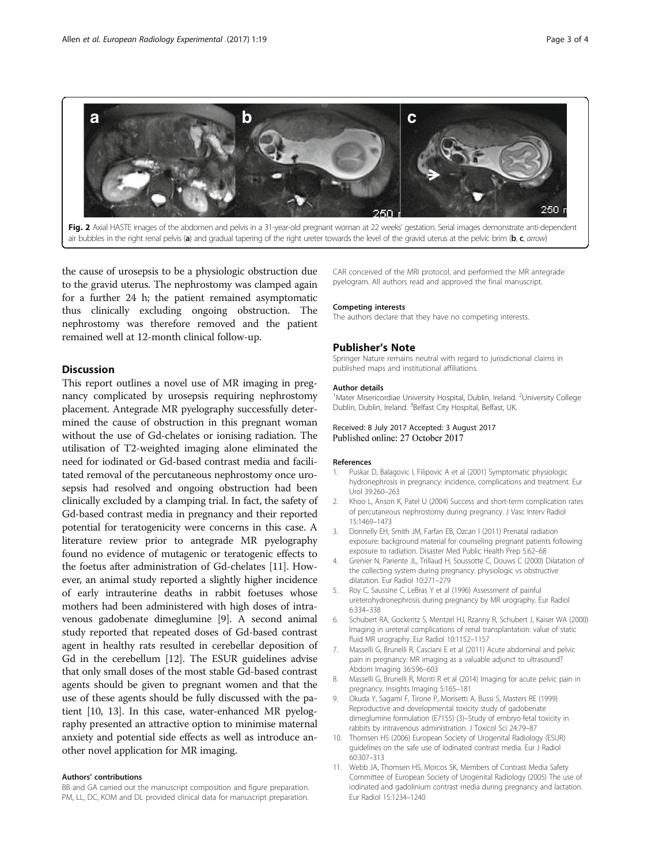<span id="page-2-0"></span>

the cause of urosepsis to be a physiologic obstruction due to the gravid uterus. The nephrostomy was clamped again for a further 24 h; the patient remained asymptomatic thus clinically excluding ongoing obstruction. The nephrostomy was therefore removed and the patient remained well at 12-month clinical follow-up.

## **Discussion**

This report outlines a novel use of MR imaging in pregnancy complicated by urosepsis requiring nephrostomy placement. Antegrade MR pyelography successfully determined the cause of obstruction in this pregnant woman without the use of Gd-chelates or ionising radiation. The utilisation of T2-weighted imaging alone eliminated the need for iodinated or Gd-based contrast media and facilitated removal of the percutaneous nephrostomy once urosepsis had resolved and ongoing obstruction had been clinically excluded by a clamping trial. In fact, the safety of Gd-based contrast media in pregnancy and their reported potential for teratogenicity were concerns in this case. A literature review prior to antegrade MR pyelography found no evidence of mutagenic or teratogenic effects to the foetus after administration of Gd-chelates [11]. However, an animal study reported a slightly higher incidence of early intrauterine deaths in rabbit foetuses whose mothers had been administered with high doses of intravenous gadobenate dimeglumine [9]. A second animal study reported that repeated doses of Gd-based contrast agent in healthy rats resulted in cerebellar deposition of Gd in the cerebellum [\[12\]](#page-3-0). The ESUR guidelines advise that only small doses of the most stable Gd-based contrast agents should be given to pregnant women and that the use of these agents should be fully discussed with the patient [10, [13](#page-3-0)]. In this case, water-enhanced MR pyelography presented an attractive option to minimise maternal anxiety and potential side effects as well as introduce another novel application for MR imaging.

#### Authors' contributions

BB and GA carried out the manuscript composition and figure preparation. PM, LL, DC, KOM and DL provided clinical data for manuscript preparation. CAR conceived of the MRI protocol, and performed the MR antegrade pyelogram. All authors read and approved the final manuscript.

#### Competing interests

The authors declare that they have no competing interests.

### Publisher's Note

Springer Nature remains neutral with regard to jurisdictional claims in published maps and institutional affiliations.

#### Author details

<sup>1</sup>Mater Misericordiae University Hospital, Dublin, Ireland. <sup>2</sup>University College Dublin, Dublin, Ireland. <sup>3</sup>Belfast City Hospital, Belfast, UK.

Received: 8 July 2017 Accepted: 3 August 2017 Published online: 27 October 2017

#### References

- Puskar D, Balagovic I, Filipovic A et al (2001) Symptomatic physiologic hydronephrosis in pregnancy: incidence, complications and treatment. Eur Urol 39:260–263
- 2. Khoo L, Anson K, Patel U (2004) Success and short-term complication rates of percutaneous nephrostomy during pregnancy. J Vasc Interv Radiol 15:1469–1473
- 3. Donnelly EH, Smith JM, Farfan EB, Ozcan I (2011) Prenatal radiation exposure: background material for counseling pregnant patients following exposure to radiation. Disaster Med Public Health Prep 5:62–68
- 4. Grenier N, Pariente JL, Trillaud H, Soussotte C, Douws C (2000) Dilatation of the collecting system during pregnancy: physiologic vs obstructive dilatation. Eur Radiol 10:271–279
- 5. Roy C, Saussine C, LeBras Y et al (1996) Assessment of painful ureterohydronephrosis during pregnancy by MR urography. Eur Radiol 6:334–338
- 6. Schubert RA, Gockeritz S, Mentzel HJ, Rzanny R, Schubert J, Kaiser WA (2000) Imaging in ureteral complications of renal transplantation: value of static fluid MR urography. Eur Radiol 10:1152–1157
- 7. Masselli G, Brunelli R, Casciani E et al (2011) Acute abdominal and pelvic pain in pregnancy: MR imaging as a valuable adjunct to ultrasound? Abdom Imaging 36:596–603
- 8. Masselli G, Brunelli R, Monti R et al (2014) Imaging for acute pelvic pain in pregnancy. Insights Imaging 5:165–181
- 9. Okuda Y, Sagami F, Tirone P, Morisetti A, Bussi S, Masters RE (1999) Reproductive and developmental toxicity study of gadobenate dimeglumine formulation (E7155) (3)–Study of embryo-fetal toxicity in rabbits by intravenous administration. J Toxicol Sci 24:79–87
- 10. Thomsen HS (2006) European Society of Urogenital Radiology (ESUR) guidelines on the safe use of iodinated contrast media. Eur J Radiol 60:307–313
- 11. Webb JA, Thomsen HS, Morcos SK, Members of Contrast Media Safety Committee of European Society of Urogenital Radiology (2005) The use of iodinated and gadolinium contrast media during pregnancy and lactation. Eur Radiol 15:1234–1240